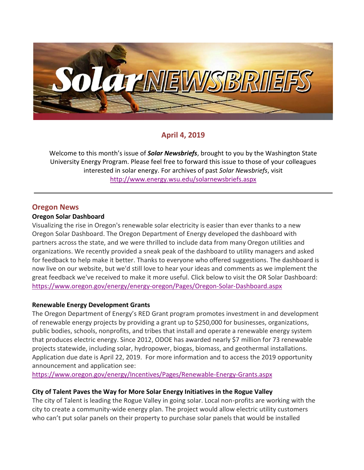

# **April 4, 2019**

Welcome to this month's issue of *Solar Newsbriefs*, brought to you by the Washington State University Energy Program. Please feel free to forward this issue to those of your colleagues interested in solar energy. For archives of past *Solar Newsbriefs*, visit <http://www.energy.wsu.edu/solarnewsbriefs.aspx>

## **Oregon News**

#### **Oregon Solar Dashboard**

Visualizing the rise in Oregon's renewable solar electricity is easier than ever thanks to a new [Oregon Solar Dashboard.](https://oregon.us12.list-manage.com/track/click?u=14b0eadd2d1af4e31a0a7e0b5&id=d13693b1d2&e=7ff79f0d19) The Oregon Department of Energy developed the dashboard with partners across the state, and we were thrilled to include data from many Oregon utilities and organizations. We recently provided a sneak peak of the dashboard to utility managers and asked for feedback to help make it better. Thanks to everyone who offered suggestions. The dashboard is now live on our website, but we'd still love to hear your ideas and comments as we implement the great feedback we've received to make it more useful. Click below to visit the OR Solar Dashboard: <https://www.oregon.gov/energy/energy-oregon/Pages/Oregon-Solar-Dashboard.aspx>

#### **Renewable Energy Development Grants**

The Oregon Department of Energy's RED Grant program promotes investment in and development of renewable energy projects by providing a grant up to \$250,000 for businesses, organizations, public bodies, schools, nonprofits, and tribes that install and operate a renewable energy system that produces electric energy. Since 2012, ODOE has awarded nearly \$7 million for 73 renewable projects statewide, including solar, hydropower, biogas, biomass, and geothermal installations. Application due date is April 22, 2019. For more information and to access the 2019 opportunity announcement and application see:

<https://www.oregon.gov/energy/Incentives/Pages/Renewable-Energy-Grants.aspx>

#### **City of Talent Paves the Way for More Solar Energy Initiatives in the Rogue Valley**

The city of Talent is leading the Rogue Valley in going solar. Local non-profits are working with the city to create a community-wide energy plan. The project would allow electric utility customers who can't put solar panels on their property to purchase solar panels that would be installed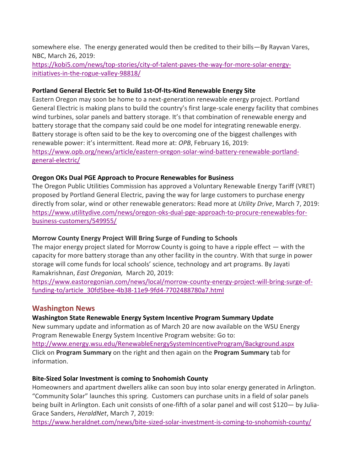somewhere else. The energy generated would then be credited to their bills—By Rayvan Vares, NBC, March 26, 2019:

[https://kobi5.com/news/top-stories/city-of-talent-paves-the-way-for-more-solar-energy](https://kobi5.com/news/top-stories/city-of-talent-paves-the-way-for-more-solar-energy-initiatives-in-the-rogue-valley-98818/)[initiatives-in-the-rogue-valley-98818/](https://kobi5.com/news/top-stories/city-of-talent-paves-the-way-for-more-solar-energy-initiatives-in-the-rogue-valley-98818/)

#### **Portland General Electric Set to Build 1st-Of-Its-Kind Renewable Energy Site**

Eastern Oregon may soon be home to a next-generation renewable energy project. Portland General Electric is making plans to build the country's first large-scale energy facility that combines wind turbines, solar panels and battery storage. It's that combination of renewable energy and battery storage that the company said could be one model for integrating renewable energy. Battery storage is often said to be the key to overcoming one of the biggest challenges with renewable power: it's intermittent. Read more at: *OPB*, February 16, 2019: [https://www.opb.org/news/article/eastern-oregon-solar-wind-battery-renewable-portland](https://www.opb.org/news/article/eastern-oregon-solar-wind-battery-renewable-portland-general-electric/)[general-electric/](https://www.opb.org/news/article/eastern-oregon-solar-wind-battery-renewable-portland-general-electric/) 

#### **Oregon OKs Dual PGE Approach to Procure Renewables for Business**

The Oregon Public Utilities Commission has [approved a Voluntary Renewable Energy Tariff \(VRET\)](https://apps.puc.state.or.us/orders/2019ords/19-075.pdf) proposed by Portland General Electric, paving the way for large customers to purchase energy directly from solar, wind or other renewable generators: Read more at *Utility Drive*, March 7, 2019: [https://www.utilitydive.com/news/oregon-oks-dual-pge-approach-to-procure-renewables-for](https://www.utilitydive.com/news/oregon-oks-dual-pge-approach-to-procure-renewables-for-business-customers/549955/)[business-customers/549955/](https://www.utilitydive.com/news/oregon-oks-dual-pge-approach-to-procure-renewables-for-business-customers/549955/)

### **Morrow County Energy Project Will Bring Surge of Funding to Schools**

The major energy project slated for Morrow County is going to have a ripple effect — with the capacity for more battery storage than any other facility in the country. With that surge in power storage will come funds for local schools' science, technology and art programs. [By Jayati](https://www.eastoregonian.com/users/profile/Jayati%20Ramakrishnan)  Ramakrishnan, *[East Oregonian,](https://www.eastoregonian.com/users/profile/Jayati%20Ramakrishnan)* March 20, 2019:

[https://www.eastoregonian.com/news/local/morrow-county-energy-project-will-bring-surge-of](https://www.eastoregonian.com/news/local/morrow-county-energy-project-will-bring-surge-of-funding-to/article_30fd5bee-4b38-11e9-9fd4-7702488780a7.html)[funding-to/article\\_30fd5bee-4b38-11e9-9fd4-7702488780a7.html](https://www.eastoregonian.com/news/local/morrow-county-energy-project-will-bring-surge-of-funding-to/article_30fd5bee-4b38-11e9-9fd4-7702488780a7.html)

### **Washington News**

### **Washington State Renewable Energy System Incentive Program Summary Update**

New summary update and information as of March 20 are now available on the WSU Energy Program Renewable Energy System Incentive Program website: Go to: <http://www.energy.wsu.edu/RenewableEnergySystemIncentiveProgram/Background.aspx> Click on **Program Summary** on the right and then again on the **Program Summary** tab for information.

#### **Bite-Sized Solar Investment is coming to Snohomish County**

Homeowners and apartment dwellers alike can soon buy into solar energy generated in Arlington. "Community Solar" launches this spring. Customers can purchase units in a field of solar panels being built in Arlington. Each unit consists of one-fifth of a solar panel and will cost \$120— by Julia-Grace Sanders, *HeraldNet*, March 7, 2019:

<https://www.heraldnet.com/news/bite-sized-solar-investment-is-coming-to-snohomish-county/>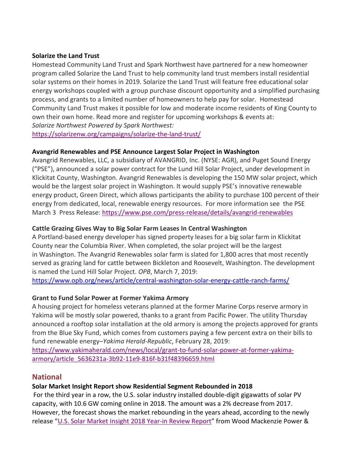#### **Solarize the Land Trust**

Homestead Community Land Trust and Spark Northwest have partnered for a new homeowner program called Solarize the Land Trust to help community land trust members install residential solar systems on their homes in 2019. Solarize the Land Trust will feature free educational solar energy workshops coupled with a group purchase discount opportunity and a simplified purchasing process, and grants to a limited number of homeowners to help pay for solar. Homestead Community Land Trust makes it possible for low and moderate income residents of King County to own their own home. Read more and register for upcoming workshops & events at: *Solarize Northwest Powered by Spark Northwest:*

<https://solarizenw.org/campaigns/solarize-the-land-trust/>

### **Avangrid Renewables and PSE Announce Largest Solar Project in Washington**

Avangrid Renewables, LLC, a subsidiary of AVANGRID, Inc. (NYSE: AGR), and Puget Sound Energy ("PSE"), announced a solar power contract for the Lund Hill Solar Project, under development in Klickitat County, Washington. Avangrid Renewables is developing the 150 MW solar project, which would be the largest solar project in Washington. It would supply PSE's innovative renewable energy product, Green Direct, which allows participants the ability to purchase 100 percent of their energy from dedicated, local, renewable energy resources. For more information see the PSE March 3 Press Release:<https://www.pse.com/press-release/details/avangrid-renewables>

### **Cattle Grazing Gives Way to Big Solar Farm Leases In Central Washington**

A Portland-based energy developer has signed property leases for a big solar farm in Klickitat County near the Columbia River. When completed, the solar project will be the largest in Washington. The [Avangrid Renewables](https://www.avangridrenewables.com/wps/portal/aren/home/!ut/p/z1/04_Sj9CPykssy0xPLMnMz0vMAfIjo8zijQ19XT1MnA38LByNHQ0CvY1DLC38Ag0DTIz1wwkpiAJKG-AAjgZA_VFgJQgTfE0sDQJNjH1C3d3D3IFGQRXgMaMgN8Ig01FREQAiJmIa/dz/d5/L2dBISEvZ0FBIS9nQSEh/) solar farm is slated for 1,800 acres that most recently served as grazing land for cattle between Bickleton and Roosevelt, Washington. The development is named the Lund Hill Solar Project. *OPB*, March 7, 2019:

<https://www.opb.org/news/article/central-washington-solar-energy-cattle-ranch-farms/>

### **Grant to Fund Solar Power at Former Yakima Armory**

A housing project for homeless veterans planned at the former Marine Corps reserve armory in Yakima will be mostly solar powered, thanks to a grant from Pacific Power. The utility Thursday announced a rooftop solar installation at the old armory is among the projects approved for grants from the Blue Sky Fund, which comes from customers paying a few percent extra on their bills to fund renewable energy–*Yakima Herald-Republic*, February 28, 2019:

[https://www.yakimaherald.com/news/local/grant-to-fund-solar-power-at-former-yakima](https://www.yakimaherald.com/news/local/grant-to-fund-solar-power-at-former-yakima-armory/article_5636231a-3b92-11e9-816f-b31f48396659.html)[armory/article\\_5636231a-3b92-11e9-816f-b31f48396659.html](https://www.yakimaherald.com/news/local/grant-to-fund-solar-power-at-former-yakima-armory/article_5636231a-3b92-11e9-816f-b31f48396659.html)

## **National**

### **Solar Market Insight Report show Residential Segment Rebounded in 2018**

For the third year in a row, the U.S. solar industry installed double-digit gigawatts of solar PV capacity, with 10.6 GW coming online in 2018. The amount was a 2% decrease from 2017. However, the forecast shows the market rebounding in the years ahead, according to the newly release "[U.S. Solar Market Insight 2018 Year-in Review Report](https://www.seia.org/us-solar-market-insight)" from Wood Mackenzie Power &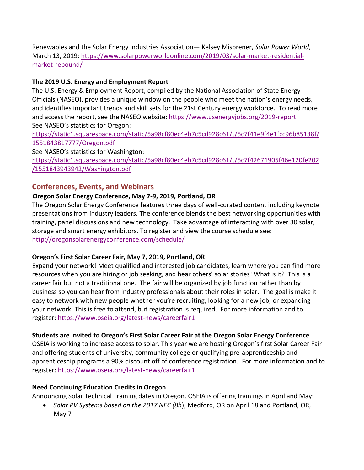Renewables and the Solar Energy Industries Association— Kelsey Misbrener, *Solar Power World*, March 13, 2019: [https://www.solarpowerworldonline.com/2019/03/solar-market-residential](https://www.solarpowerworldonline.com/2019/03/solar-market-residential-market-rebound/)[market-rebound/](https://www.solarpowerworldonline.com/2019/03/solar-market-residential-market-rebound/)

## **The 2019 U.S. Energy and Employment Report**

The U.S. Energy & Employment Report, compiled by the National Association of State Energy Officials (NASEO), provides a unique window on the people who meet the nation's energy needs, and identifies important trends and skill sets for the 21st Century energy workforce. To read more and access the report, see the NASEO website: <https://www.usenergyjobs.org/2019-report> See NASEO's statistics for Oregon:

[https://static1.squarespace.com/static/5a98cf80ec4eb7c5cd928c61/t/5c7f41e9f4e1fcc96b85138f/](https://static1.squarespace.com/static/5a98cf80ec4eb7c5cd928c61/t/5c7f41e9f4e1fcc96b85138f/1551843817777/Oregon.pdf) [1551843817777/Oregon.pdf](https://static1.squarespace.com/static/5a98cf80ec4eb7c5cd928c61/t/5c7f41e9f4e1fcc96b85138f/1551843817777/Oregon.pdf)

See NASEO's statistics for Washington:

[https://static1.squarespace.com/static/5a98cf80ec4eb7c5cd928c61/t/5c7f42671905f46e120fe202](https://static1.squarespace.com/static/5a98cf80ec4eb7c5cd928c61/t/5c7f42671905f46e120fe202/1551843943942/Washington.pdf) [/1551843943942/Washington.pdf](https://static1.squarespace.com/static/5a98cf80ec4eb7c5cd928c61/t/5c7f42671905f46e120fe202/1551843943942/Washington.pdf)

## **Conferences, Events, and Webinars**

## **Oregon Solar Energy Conference, May 7-9, 2019, Portland, OR**

The Oregon Solar Energy Conference features three days of well-curated content including keynote presentations from industry leaders. The conference blends the best networking opportunities with training, panel discussions and new technology. Take advantage of interacting with over 30 solar, storage and smart energy exhibitors. To register and view the course schedule see: <http://oregonsolarenergyconference.com/schedule/>

## **Oregon's First Solar Career Fair, May 7, 2019, Portland, OR**

Expand your network! Meet qualified and interested job candidates, learn where you can find more resources when you are hiring or job seeking, and hear others' solar stories! What is it? This is a career fair but not a traditional one. The fair will be organized by job function rather than by business so you can hear from industry professionals about their roles in solar. The goal is make it easy to network with new people whether you're recruiting, looking for a new job, or expanding your network. This is free to attend, but registration is required. For more information and to register: <https://www.oseia.org/latest-news/careerfair1>

## **Students are invited to Oregon's First Solar Career Fair at the Oregon Solar Energy Conference**

OSEIA is working to increase access to solar. This year we are hosting Oregon's first Solar Career Fair and offering students of university, community college or qualifying pre-apprenticeship and apprenticeship programs a 90% discount off of conference registration. For more information and to register: <https://www.oseia.org/latest-news/careerfair1>

## **Need Continuing Education Credits in Oregon**

Announcing Solar Technical Training dates in Oregon. OSEIA is offering trainings in April and May:

 *Solar PV Systems based on the 2017 NEC (8h*), Medford, OR on April 18 and Portland, OR, May 7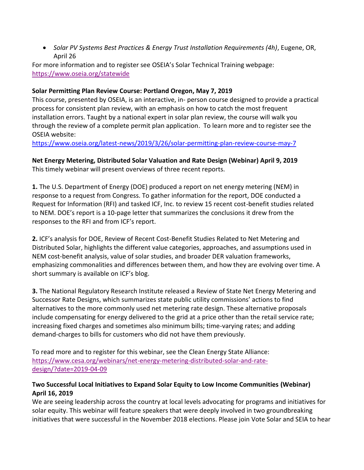*Solar PV Systems Best Practices & Energy Trust Installation Requirements (4h)*, Eugene, OR, April 26

For more information and to register see OSEIA's Solar Technical Training webpage: <https://www.oseia.org/statewide>

### **Solar Permitting Plan Review Course: Portland Oregon, May 7, 2019**

This course, presented by OSEIA, is an interactive, in- person course designed to provide a practical process for consistent plan review, with an emphasis on how to catch the most frequent installation errors. Taught by a national expert in solar plan review, the course will walk you through the review of a complete permit plan application. To learn more and to register see the OSEIA website:

<https://www.oseia.org/latest-news/2019/3/26/solar-permitting-plan-review-course-may-7>

**Net Energy Metering, Distributed Solar Valuation and Rate Design (Webinar) April 9, 2019** This timely webinar will present overviews of three recent reports.

**1.** The U.S. Department of Energy (DOE) produced a report on net energy metering (NEM) in response to a request from Congress. To gather information for the report, DOE conducted a Request for Information (RFI) and tasked ICF, Inc. to review 15 recent cost-benefit studies related to NEM. DOE's report is a 10-page letter that summarizes the conclusions it drew from the responses to the RFI and from ICF's report.

**2.** ICF's analysis for DOE, [Review of Recent Cost-Benefit Studies Related to Net Metering and](https://www.icf.com/-/media/files/icf/reports/2019/icf-nem-meta-analysis_formatted-final_revised-1-17-193.pdf?la=en&hash=1E4AD2DDBCE6B6D8ACC98A1182312E8FCF183D3F)  [Distributed Solar,](https://www.icf.com/-/media/files/icf/reports/2019/icf-nem-meta-analysis_formatted-final_revised-1-17-193.pdf?la=en&hash=1E4AD2DDBCE6B6D8ACC98A1182312E8FCF183D3F) highlights the different value categories, approaches, and assumptions used in NEM cost-benefit analysis, value of solar studies, and broader DER valuation frameworks, emphasizing commonalities and differences between them, and how they are evolving over time. A short summary is available on [ICF's blog](https://www.icf.com/blog/energy/value-solar-studies).

**3.** The National Regulatory Research Institute released a [Review of State Net Energy Metering and](http://nrri.org/download/nrri-19-01-review-of-state-net-energy-metering/)  [Successor Rate Designs](http://nrri.org/download/nrri-19-01-review-of-state-net-energy-metering/), which summarizes state public utility commissions' actions to find alternatives to the more commonly used net metering rate design. These alternative proposals include compensating for energy delivered to the grid at a price other than the retail service rate; increasing fixed charges and sometimes also minimum bills; time-varying rates; and adding demand-charges to bills for customers who did not have them previously.

To read more and to register for this webinar, see the Clean Energy State Alliance: [https://www.cesa.org/webinars/net-energy-metering-distributed-solar-and-rate](https://www.cesa.org/webinars/net-energy-metering-distributed-solar-and-rate-design/?date=2019-04-09)[design/?date=2019-04-09](https://www.cesa.org/webinars/net-energy-metering-distributed-solar-and-rate-design/?date=2019-04-09)

### **Two Successful Local Initiatives to Expand Solar Equity to Low Income Communities (Webinar) April 16, 2019**

We are seeing leadership across the country at local levels advocating for programs and initiatives for solar equity. This webinar will feature speakers that were deeply involved in two groundbreaking initiatives that were successful in the November 2018 elections. Please join Vote Solar and SEIA to hear